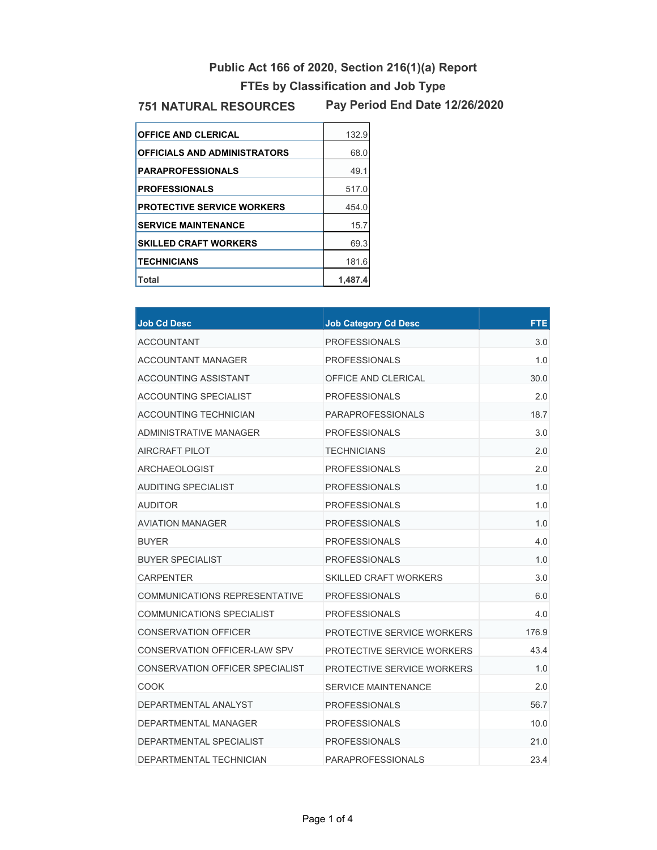## **Public Act 166 of 2020, Section 216(1)(a) Report FTEs by Classification and Job Type**

## **751 NATURAL RESOURCES**

**Pay Period End Date 12/26/2020**

| <b>OFFICE AND CLERICAL</b>          | 132.9   |
|-------------------------------------|---------|
| <b>OFFICIALS AND ADMINISTRATORS</b> | 68.0    |
| <b>PARAPROFESSIONALS</b>            | 49.1    |
| <b>PROFESSIONALS</b>                | 517.0   |
| <b>PROTECTIVE SERVICE WORKERS</b>   | 454.0   |
| <b>SERVICE MAINTENANCE</b>          | 15.7    |
| <b>SKILLED CRAFT WORKERS</b>        | 69.3    |
| <b>TECHNICIANS</b>                  | 181.6   |
| Total                               | 1.487.4 |

| <b>Job Cd Desc</b>                   | <b>Job Category Cd Desc</b>  | <b>FTE</b> |
|--------------------------------------|------------------------------|------------|
| ACCOUNTANT                           | <b>PROFESSIONALS</b>         | 3.0        |
| ACCOUNTANT MANAGER                   | <b>PROFESSIONALS</b>         | 1.0        |
| ACCOUNTING ASSISTANT                 | OFFICE AND CLERICAL          | 30.0       |
| ACCOUNTING SPECIALIST                | <b>PROFESSIONALS</b>         | 2.0        |
| ACCOUNTING TECHNICIAN                | <b>PARAPROFESSIONALS</b>     | 18.7       |
| ADMINISTRATIVE MANAGER               | <b>PROFESSIONALS</b>         | 3.0        |
| AIRCRAFT PILOT                       | <b>TECHNICIANS</b>           | 2.0        |
| ARCHAEOLOGIST                        | <b>PROFESSIONALS</b>         | 2.0        |
| AUDITING SPECIALIST                  | <b>PROFESSIONALS</b>         | 1.0        |
| AUDITOR                              | <b>PROFESSIONALS</b>         | 1.0        |
| <b>AVIATION MANAGER</b>              | <b>PROFESSIONALS</b>         | 1.0        |
| <b>BUYER</b>                         | <b>PROFESSIONALS</b>         | 4.0        |
| <b>BUYER SPECIALIST</b>              | <b>PROFESSIONALS</b>         | 1.0        |
| <b>CARPENTER</b>                     | <b>SKILLED CRAFT WORKERS</b> | 3.0        |
| <b>COMMUNICATIONS REPRESENTATIVE</b> | <b>PROFESSIONALS</b>         | 6.0        |
| COMMUNICATIONS SPECIALIST            | <b>PROFESSIONALS</b>         | 4.0        |
| <b>CONSERVATION OFFICER</b>          | PROTECTIVE SERVICE WORKERS   | 176.9      |
| CONSERVATION OFFICER-LAW SPV         | PROTECTIVE SERVICE WORKERS   | 43.4       |
| CONSERVATION OFFICER SPECIALIST      | PROTECTIVE SERVICE WORKERS   | 1.0        |
| <b>COOK</b>                          | <b>SERVICE MAINTENANCE</b>   | 2.0        |
| DEPARTMENTAL ANALYST                 | <b>PROFESSIONALS</b>         | 56.7       |
| DEPARTMENTAL MANAGER                 | <b>PROFESSIONALS</b>         | 10.0       |
| DEPARTMENTAL SPECIALIST              | <b>PROFESSIONALS</b>         | 21.0       |
| DEPARTMENTAL TECHNICIAN              | PARAPROFESSIONALS            | 23.4       |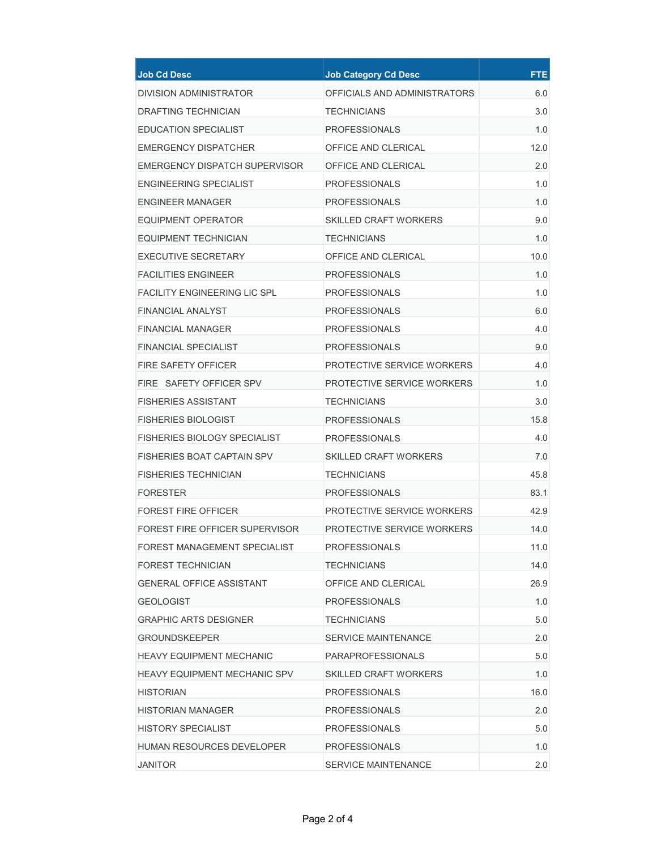| <b>Job Cd Desc</b>                  | <b>Job Category Cd Desc</b>  | <b>FTE</b> |
|-------------------------------------|------------------------------|------------|
| DIVISION ADMINISTRATOR              | OFFICIALS AND ADMINISTRATORS | 6.0        |
| <b>DRAFTING TECHNICIAN</b>          | <b>TECHNICIANS</b>           | 3.0        |
| EDUCATION SPECIALIST                | PROFESSIONALS                | 1.0        |
| <b>EMERGENCY DISPATCHER</b>         | OFFICE AND CLERICAL          | 12.0       |
| EMERGENCY DISPATCH SUPERVISOR       | OFFICE AND CLERICAL          | 2.0        |
| ENGINEERING SPECIALIST              | <b>PROFESSIONALS</b>         | 1.0        |
| ENGINEER MANAGER                    | <b>PROFESSIONALS</b>         | 1.0        |
| EQUIPMENT OPERATOR                  | SKILLED CRAFT WORKERS        | 9.0        |
| EQUIPMENT TECHNICIAN                | <b>TECHNICIANS</b>           | 1.0        |
| <b>EXECUTIVE SECRETARY</b>          | OFFICE AND CLERICAL          | 10.0       |
| <b>FACILITIES ENGINEER</b>          | <b>PROFESSIONALS</b>         | 1.0        |
| <b>FACILITY ENGINEERING LIC SPL</b> | <b>PROFESSIONALS</b>         | 1.0        |
| <b>FINANCIAL ANALYST</b>            | <b>PROFESSIONALS</b>         | 6.0        |
| <b>FINANCIAL MANAGER</b>            | <b>PROFESSIONALS</b>         | 4.0        |
| <b>FINANCIAL SPECIALIST</b>         | <b>PROFESSIONALS</b>         | 9.0        |
| <b>FIRE SAFETY OFFICER</b>          | PROTECTIVE SERVICE WORKERS   | 4.0        |
| FIRE SAFETY OFFICER SPV             | PROTECTIVE SERVICE WORKERS   | 1.0        |
| <b>FISHERIES ASSISTANT</b>          | <b>TECHNICIANS</b>           | 3.0        |
| <b>FISHERIES BIOLOGIST</b>          | <b>PROFESSIONALS</b>         | 15.8       |
| <b>FISHERIES BIOLOGY SPECIALIST</b> | <b>PROFESSIONALS</b>         | 4.0        |
| <b>FISHERIES BOAT CAPTAIN SPV</b>   | SKILLED CRAFT WORKERS        | 7.0        |
| <b>FISHERIES TECHNICIAN</b>         | TECHNICIANS                  | 45.8       |
| <b>FORESTER</b>                     | <b>PROFESSIONALS</b>         | 83.1       |
| <b>FOREST FIRE OFFICER</b>          | PROTECTIVE SERVICE WORKERS   | 42.9       |
| FOREST FIRE OFFICER SUPERVISOR      | PROTECTIVE SERVICE WORKERS   | 14.0       |
| FOREST MANAGEMENT SPECIALIST        | <b>PROFESSIONALS</b>         | 11.0       |
| FOREST TECHNICIAN                   | TECHNICIANS                  | 14.0       |
| <b>GENERAL OFFICE ASSISTANT</b>     | OFFICE AND CLERICAL          | 26.9       |
| <b>GEOLOGIST</b>                    | <b>PROFESSIONALS</b>         | 1.0        |
| <b>GRAPHIC ARTS DESIGNER</b>        | <b>TECHNICIANS</b>           | 5.0        |
| <b>GROUNDSKEEPER</b>                | SERVICE MAINTENANCE          | 2.0        |
| <b>HEAVY EQUIPMENT MECHANIC</b>     | <b>PARAPROFESSIONALS</b>     | 5.0        |
| <b>HEAVY EQUIPMENT MECHANIC SPV</b> | <b>SKILLED CRAFT WORKERS</b> | 1.0        |
| <b>HISTORIAN</b>                    | <b>PROFESSIONALS</b>         | 16.0       |
| HISTORIAN MANAGER                   | <b>PROFESSIONALS</b>         | 2.0        |
| <b>HISTORY SPECIALIST</b>           | <b>PROFESSIONALS</b>         | 5.0        |
| <b>HUMAN RESOURCES DEVELOPER</b>    | <b>PROFESSIONALS</b>         | 1.0        |
| JANITOR                             | <b>SERVICE MAINTENANCE</b>   | 2.0        |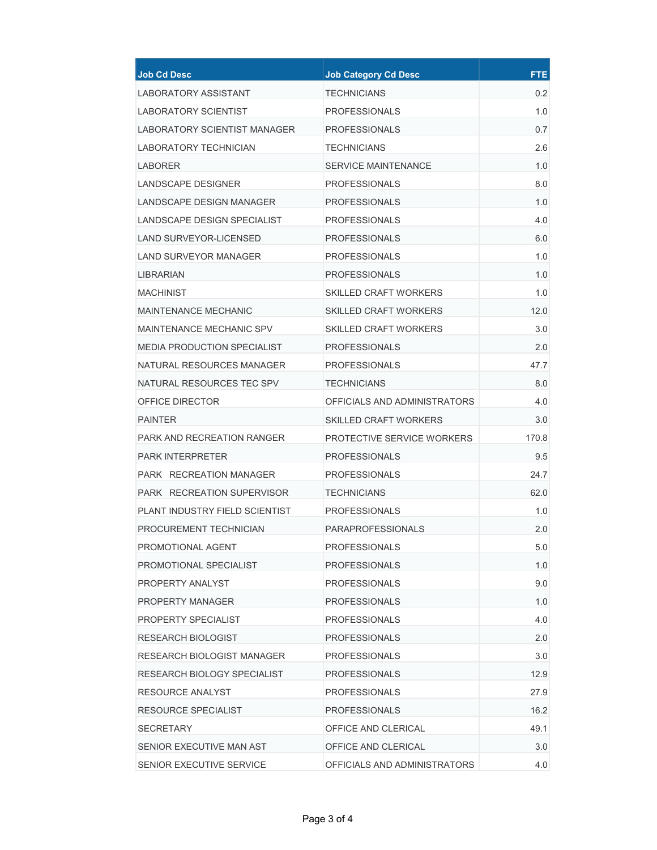| <b>Job Cd Desc</b>                 | <b>Job Category Cd Desc</b>  | <b>FTE</b> |
|------------------------------------|------------------------------|------------|
| LABORATORY ASSISTANT               | <b>TECHNICIANS</b>           | 0.2        |
| <b>LABORATORY SCIENTIST</b>        | <b>PROFESSIONALS</b>         | 1.0        |
| LABORATORY SCIENTIST MANAGER       | <b>PROFESSIONALS</b>         | 0.7        |
| LABORATORY TECHNICIAN              | <b>TECHNICIANS</b>           | 2.6        |
| <b>LABORER</b>                     | <b>SERVICE MAINTENANCE</b>   | 1.0        |
| <b>LANDSCAPE DESIGNER</b>          | <b>PROFESSIONALS</b>         | 8.0        |
| LANDSCAPE DESIGN MANAGER           | <b>PROFESSIONALS</b>         | 1.0        |
| LANDSCAPE DESIGN SPECIALIST        | <b>PROFESSIONALS</b>         | 4.0        |
| LAND SURVEYOR-LICENSED             | <b>PROFESSIONALS</b>         | 6.0        |
| LAND SURVEYOR MANAGER              | <b>PROFESSIONALS</b>         | 1.0        |
| LIBRARIAN                          | <b>PROFESSIONALS</b>         | 1.0        |
| <b>MACHINIST</b>                   | <b>SKILLED CRAFT WORKERS</b> | 1.0        |
| MAINTENANCE MECHANIC               | <b>SKILLED CRAFT WORKERS</b> | 12.0       |
| MAINTENANCE MECHANIC SPV           | SKILLED CRAFT WORKERS        | 3.0        |
| <b>MEDIA PRODUCTION SPECIALIST</b> | <b>PROFESSIONALS</b>         | 2.0        |
| NATURAL RESOURCES MANAGER          | <b>PROFESSIONALS</b>         | 47.7       |
| NATURAL RESOURCES TEC SPV          | <b>TECHNICIANS</b>           | 8.0        |
| OFFICE DIRECTOR                    | OFFICIALS AND ADMINISTRATORS | 4.0        |
| <b>PAINTER</b>                     | <b>SKILLED CRAFT WORKERS</b> | 3.0        |
| PARK AND RECREATION RANGER         | PROTECTIVE SERVICE WORKERS   | 170.8      |
| <b>PARK INTERPRETER</b>            | <b>PROFESSIONALS</b>         | 9.5        |
| PARK RECREATION MANAGER            | <b>PROFESSIONALS</b>         | 24.7       |
| <b>PARK RECREATION SUPERVISOR</b>  | <b>TECHNICIANS</b>           | 62.0       |
| PLANT INDUSTRY FIELD SCIENTIST     | <b>PROFESSIONALS</b>         | 1.0        |
| PROCUREMENT TECHNICIAN             | <b>PARAPROFESSIONALS</b>     | 2.0        |
| PROMOTIONAL AGENT                  | <b>PROFESSIONALS</b>         | 5.0        |
| PROMOTIONAL SPECIALIST             | <b>PROFESSIONALS</b>         | 1.0        |
| PROPERTY ANALYST                   | <b>PROFESSIONALS</b>         | 9.0        |
| PROPERTY MANAGER                   | <b>PROFESSIONALS</b>         | 1.0        |
| PROPERTY SPECIALIST                | <b>PROFESSIONALS</b>         | 4.0        |
| <b>RESEARCH BIOLOGIST</b>          | <b>PROFESSIONALS</b>         | 2.0        |
| RESEARCH BIOLOGIST MANAGER         | <b>PROFESSIONALS</b>         | 3.0        |
| RESEARCH BIOLOGY SPECIALIST        | <b>PROFESSIONALS</b>         | 12.9       |
| RESOURCE ANALYST                   | <b>PROFESSIONALS</b>         | 27.9       |
| RESOURCE SPECIALIST                | <b>PROFESSIONALS</b>         | 16.2       |
| <b>SECRETARY</b>                   | OFFICE AND CLERICAL          | 49.1       |
| SENIOR EXECUTIVE MAN AST           | OFFICE AND CLERICAL          | 3.0        |
| SENIOR EXECUTIVE SERVICE           | OFFICIALS AND ADMINISTRATORS | 4.0        |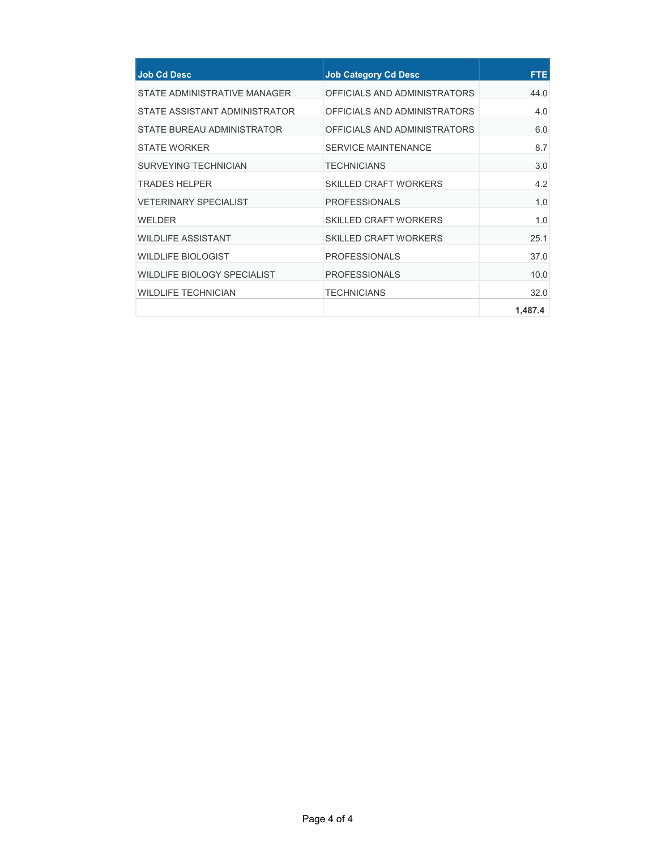| <b>Job Cd Desc</b>                 | <b>Job Category Cd Desc</b>  | <b>FTE</b> |
|------------------------------------|------------------------------|------------|
| STATE ADMINISTRATIVE MANAGER       | OFFICIALS AND ADMINISTRATORS | 44.0       |
| STATE ASSISTANT ADMINISTRATOR      | OFFICIALS AND ADMINISTRATORS | 4.0        |
| STATE BUREAU ADMINISTRATOR         | OFFICIALS AND ADMINISTRATORS | 6.0        |
| <b>STATE WORKER</b>                | <b>SERVICE MAINTENANCE</b>   | 8.7        |
| SURVEYING TECHNICIAN               | <b>TFCHNICIANS</b>           | 3.0        |
| <b>TRADES HELPER</b>               | <b>SKILLED CRAFT WORKERS</b> | 4.2        |
| <b>VETERINARY SPECIALIST</b>       | <b>PROFESSIONALS</b>         | 1.0        |
| WFI DFR                            | <b>SKILLED CRAFT WORKERS</b> | 1.0        |
| <b>WILDLIFE ASSISTANT</b>          | <b>SKILLED CRAFT WORKERS</b> | 25.1       |
| <b>WILDLIFE BIOLOGIST</b>          | <b>PROFESSIONALS</b>         | 37.0       |
| <b>WILDLIFE BIOLOGY SPECIALIST</b> | <b>PROFESSIONALS</b>         | 10.0       |
| <b>WILDLIFE TECHNICIAN</b>         | <b>TECHNICIANS</b>           | 32.0       |
|                                    |                              | 1,487.4    |